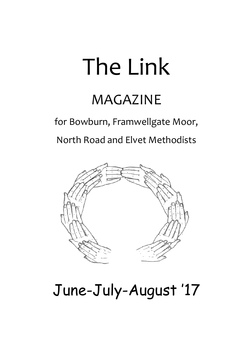# The Link

# MAGAZINE

for Bowburn, Framwellgate Moor,

North Road and Elvet Methodists



# June-July-August '17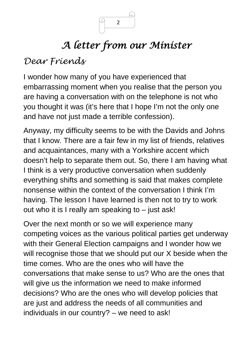

# *A letter from our Minister*

## *Dear Friends*

I wonder how many of you have experienced that embarrassing moment when you realise that the person you are having a conversation with on the telephone is not who you thought it was (it's here that I hope I'm not the only one and have not just made a terrible confession).

Anyway, my difficulty seems to be with the Davids and Johns that I know. There are a fair few in my list of friends, relatives and acquaintances, many with a Yorkshire accent which doesn't help to separate them out. So, there I am having what I think is a very productive conversation when suddenly everything shifts and something is said that makes complete nonsense within the context of the conversation I think I'm having. The lesson I have learned is then not to try to work out who it is I really am speaking to – just ask!

Over the next month or so we will experience many competing voices as the various political parties get underway with their General Election campaigns and I wonder how we will recognise those that we should put our X beside when the time comes. Who are the ones who will have the conversations that make sense to us? Who are the ones that will give us the information we need to make informed decisions? Who are the ones who will develop policies that are just and address the needs of all communities and individuals in our country? – we need to ask!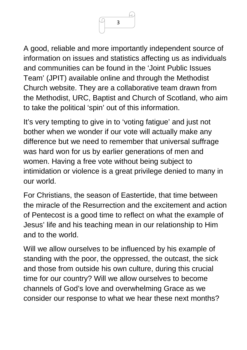

A good, reliable and more importantly independent source of information on issues and statistics affecting us as individuals and communities can be found in the 'Joint Public Issues Team' (JPIT) available online and through the Methodist Church website. They are a collaborative team drawn from the Methodist, URC, Baptist and Church of Scotland, who aim to take the political 'spin' out of this information.

It's very tempting to give in to 'voting fatigue' and just not bother when we wonder if our vote will actually make any difference but we need to remember that universal suffrage was hard won for us by earlier generations of men and women. Having a free vote without being subject to intimidation or violence is a great privilege denied to many in our world.

For Christians, the season of Eastertide, that time between the miracle of the Resurrection and the excitement and action of Pentecost is a good time to reflect on what the example of Jesus' life and his teaching mean in our relationship to Him and to the world.

Will we allow ourselves to be influenced by his example of standing with the poor, the oppressed, the outcast, the sick and those from outside his own culture, during this crucial time for our country? Will we allow ourselves to become channels of God's love and overwhelming Grace as we consider our response to what we hear these next months?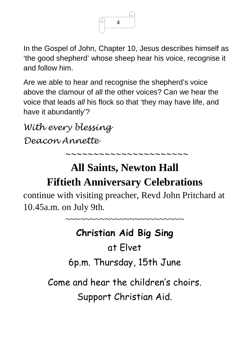

In the Gospel of John, Chapter 10, Jesus describes himself as 'the good shepherd' whose sheep hear his voice, recognise it and follow him.

Are we able to hear and recognise the shepherd's voice above the clamour of all the other voices? Can we hear the voice that leads *all* his flock so that 'they may have life, and have it abundantly'?

*With every blessing Deacon Annette* 

# **All Saints, Newton Hall**

*~~~~~~~~~~~~~~~~~~~~~~*

~~~~~~~~~~~~~~~~~~~~~~~~

# **Fiftieth Anniversary Celebrations**

continue with visiting preacher, Revd John Pritchard at 10.45a.m. on July 9th.

# **Christian Aid Big Sing**

# at Elvet

6p.m. Thursday, 15th June

Come and hear the children's choirs. Support Christian Aid.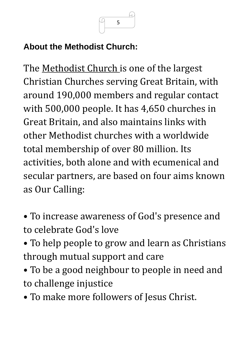

## **About the Methodist Church:**

The [Methodist Church i](http://methodist-news.org.uk/BVI-4VIMD-3A7OY4-2KRWOO-1/c.aspx)s one of the largest Christian Churches serving Great Britain, with around 190,000 members and regular contact with 500,000 people. It has 4,650 churches in Great Britain, and also maintains links with other Methodist churches with a worldwide total membership of over 80 million. Its activities, both alone and with ecumenical and secular partners, are based on four aims known as Our Calling:

- To increase awareness of God's presence and to celebrate God's love
- To help people to grow and learn as Christians through mutual support and care
- To be a good neighbour to people in need and to challenge injustice
- To make more followers of Jesus Christ.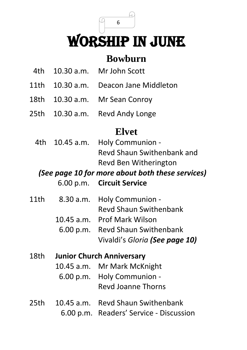WORSHIP IN JUNE

## **Bowburn**

- 4th 10.30 a.m. Mr John Scott
- 11th 10.30 a.m. Deacon Jane Middleton
- 18th 10.30 a.m. Mr Sean Conroy
- 25th 10.30 a.m. Revd Andy Longe

## **Elvet**

4th 10.45 a.m. Holy Communion - Revd Shaun Swithenbank and Revd Ben Witherington

## *(See page 10 for more about both these services)*

#### 6.00 p.m. **Circuit Service**

- 11th8.30 a.m. Holy Communion Revd Shaun Swithenbank
	- 10.45 a.m. Prof Mark Wilson
	- 6.00 p.m. Revd Shaun Swithenbank Vivaldi's *Gloria (See page 10)*
- 18th **Junior Church Anniversary**
	- 10.45 a.m. Mr Mark McKnight
		- 6.00 p.m. Holy Communion Revd Joanne Thorns
- 25th 10.45 a.m. Revd Shaun Swithenbank 6.00 p.m. Readers' Service - Discussion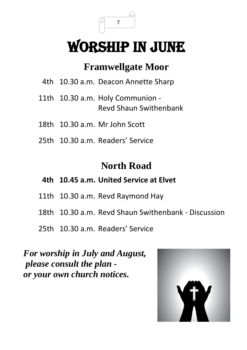# WORSHIP IN JUNE

## **Framwellgate Moor**

- 4th 10.30 a.m. Deacon Annette Sharp
- 11th 10.30 a.m. Holy Communion Revd Shaun Swithenbank
- 18th 10.30 a.m. Mr John Scott
- 25th10.30 a.m. Readers' Service

## **North Road**

#### **4th 10.45 a.m. United Service at Elvet**

- 11th 10.30 a.m. Revd Raymond Hay
- 18th 10.30 a.m. Revd Shaun Swithenbank Discussion
- 25th 10.30 a.m. Readers' Service

*For worship in July and August, please consult the plan or your own church notices.*

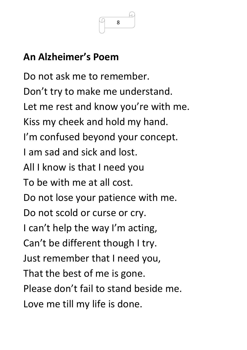

# **An Alzheimer's Poem**

Do not ask me to remember. Don't try to make me understand. Let me rest and know you're with me. Kiss my cheek and hold my hand. I'm confused beyond your concept. I am sad and sick and lost. All I know is that I need you To be with me at all cost. Do not lose your patience with me. Do not scold or curse or cry. I can't help the way I'm acting, Can't be different though I try. Just remember that I need you, That the best of me is gone. Please don't fail to stand beside me. Love me till my life is done.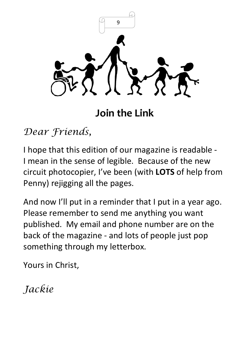

**Join the Link**

*Dear Friends,* 

I hope that this edition of our magazine is readable - I mean in the sense of legible. Because of the new circuit photocopier, I've been (with **LOTS** of help from Penny) rejigging all the pages.

And now I'll put in a reminder that I put in a year ago. Please remember to send me anything you want published. My email and phone number are on the back of the magazine - and lots of people just pop something through my letterbox.

Yours in Christ,

*Jackie*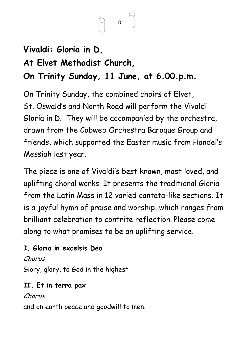

# **Vivaldi: Gloria in D, At Elvet Methodist Church, On Trinity Sunday, 11 June, at 6.00.p.m.**

On Trinity Sunday, the combined choirs of Elvet, St. Oswald's and North Road will perform the Vivaldi Gloria in D. They will be accompanied by the orchestra, drawn from the Cobweb Orchestra Baroque Group and friends, which supported the Easter music from Handel's Messiah last year.

The piece is one of Vivaldi's best known, most loved, and uplifting choral works. It presents the traditional Gloria from the Latin Mass in 12 varied cantata-like sections. It is a joyful hymn of praise and worship, which ranges from brilliant celebration to contrite reflection. Please come along to what promises to be an uplifting service.

#### **I. Gloria in excelsis Deo**

Chorus Glory, glory, to God in the highest

#### **II. Et in terra pax**

#### Chorus

and on earth peace and goodwill to men.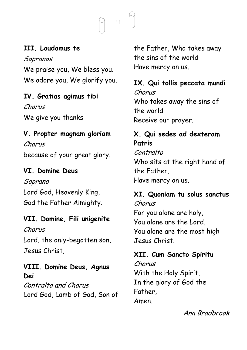

#### **III. Laudamus te**

Sopranos We praise you, We bless you. We adore you, We glorify you.

#### **IV. Gratias agimus tibi** Chorus

We give you thanks

#### **V. Propter magnam gloriam**

Chorus because of your great glory.

#### **VI. Domine Deus**

Soprano Lord God, Heavenly King, God the Father Almighty.

#### **VII. Domine, Fili unigenite**

Chorus

Lord, the only-begotten son, Jesus Christ,

### **VIII. Domine Deus, Agnus Dei**

Contralto and Chorus Lord God, Lamb of God, Son of the Father, Who takes away the sins of the world Have mercy on us.

**IX. Qui tollis peccata mundi** Chorus Who takes away the sins of the world Receive our prayer.

#### **X. Qui sedes ad dexteram Patris** Contralto Who sits at the right hand of

the Father, Have mercy on us.

**XI. Quoniam tu solus sanctus** Chorus For you alone are holy, You alone are the Lord, You alone are the most high Jesus Christ.

## **XII. Cum Sancto Spiritu**

Chorus With the Holy Spirit, In the glory of God the Father, Amen.

Ann Bradbrook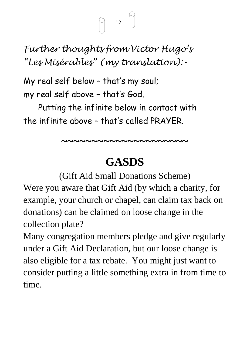*Further thoughts from Victor Hugo's "Les Misérables" (my translation):-*

My real self below – that's my soul; my real self above – that's God.

Putting the infinite below in contact with the infinite above – that's called PRAYER.

**~~~~~~~~~~~~~~~~~~~~~**

# **GASDS**

(Gift Aid Small Donations Scheme) Were you aware that Gift Aid (by which a charity, for example, your church or chapel, can claim tax back on donations) can be claimed on loose change in the collection plate?

Many congregation members pledge and give regularly under a Gift Aid Declaration, but our loose change is also eligible for a tax rebate. You might just want to consider putting a little something extra in from time to time.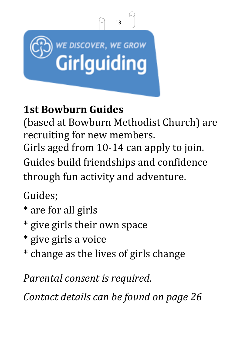

# **1st Bowburn Guides**

(based at Bowburn Methodist Church) are recruiting for new members.

Girls aged from 10-14 can apply to join. Guides build friendships and confidence through fun activity and adventure.

Guides;

- \* are for all girls
- \* give girls their own space
- \* give girls a voice
- \* change as the lives of girls change

*Parental consent is required.*

*Contact details can be found on page 26*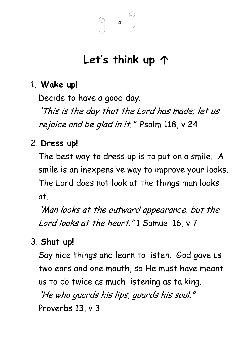# **Let's think up ↑**

## 1. **Wake up!**

Decide to have a good day.

"This is the day that the Lord has made; let us rejoice and be glad in it." Psalm 118, v 24

## 2. **Dress up!**

The best way to dress up is to put on a smile. A smile is an inexpensive way to improve your looks. The Lord does not look at the things man looks at.

"Man looks at the outward appearance, but the Lord looks at the heart."1 Samuel 16, v 7

## 3. **Shut up!**

Say nice things and learn to listen. God gave us two ears and one mouth, so He must have meant us to do twice as much listening as talking. "He who guards his lips, guards his soul." Proverbs 13, v 3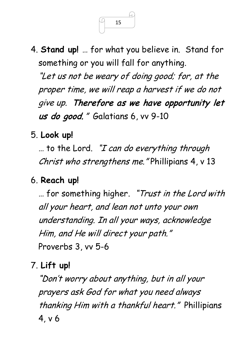

4. **Stand up!** … for what you believe in. Stand for something or you will fall for anything. "Let us not be weary of doing good; for, at the proper time, we will reap a harvest if we do not give up. Therefore as we have opportunity let us do good." Galatians 6, vv 9-10

5. **Look up!** 

 $\ldots$  to the Lord. "I can do everything through Christ who strengthens me." Phillipians 4, v 13

## 6. **Reach up!**

… for something higher. "Trust in the Lord with all your heart, and lean not unto your own understanding. In all your ways, acknowledge Him, and He will direct your path." Proverbs 3, vv 5-6

7. **Lift up!**

"Don't worry about anything, but in all your prayers ask God for what you need always thanking Him with a thankful heart." Phillipians 4, v 6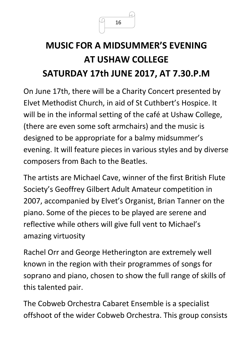

# **MUSIC FOR A MIDSUMMER'S EVENING AT USHAW COLLEGE SATURDAY 17th JUNE 2017, AT 7.30.P.M**

On June 17th, there will be a Charity Concert presented by Elvet Methodist Church, in aid of St Cuthbert's Hospice. It will be in the informal setting of the café at Ushaw College, (there are even some soft armchairs) and the music is designed to be appropriate for a balmy midsummer's evening. It will feature pieces in various styles and by diverse composers from Bach to the Beatles.

The artists are Michael Cave, winner of the first British Flute Society's Geoffrey Gilbert Adult Amateur competition in 2007, accompanied by Elvet's Organist, Brian Tanner on the piano. Some of the pieces to be played are serene and reflective while others will give full vent to Michael's amazing virtuosity

Rachel Orr and George Hetherington are extremely well known in the region with their programmes of songs for soprano and piano, chosen to show the full range of skills of this talented pair.

The Cobweb Orchestra Cabaret Ensemble is a specialist offshoot of the wider Cobweb Orchestra. This group consists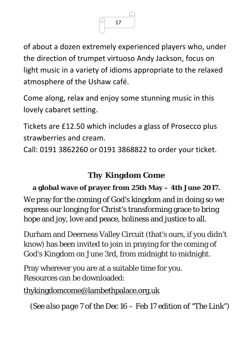

of about a dozen extremely experienced players who, under the direction of trumpet virtuoso Andy Jackson, focus on light music in a variety of idioms appropriate to the relaxed atmosphere of the Ushaw café.

Come along, relax and enjoy some stunning music in this lovely cabaret setting.

Tickets are £12.50 which includes a glass of Prosecco plus strawberries and cream.

Call: 0191 3862260 or 0191 3868822 to order your ticket.

## *Thy Kingdom Come*

### **a global wave of prayer from 25th May – 4th June 2017.**

We pray for the coming of God's kingdom and in doing so we express our longing for Christ's transforming grace to bring hope and joy, love and peace, holiness and justice to all.

Durham and Deerness Valley Circuit (that's ours, if you didn't know) has been invited to join in praying for the coming of God's Kingdom on June 3rd, from midnight to midnight.

Pray wherever you are at a suitable time for you. Resources can be downloaded:

[thykingdomcome@lambethpalace.org.uk](mailto:thykingdomcome@lambethpalace.org.uk)

*(See also page 7 of the Dec 16 – Feb 17 edition of "The Link")*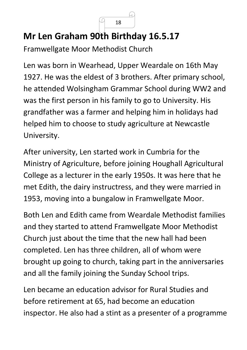## **Mr Len Graham 90th Birthday 16.5.17**

L

Framwellgate Moor Methodist Church

Len was born in Wearhead, Upper Weardale on 16th May 1927. He was the eldest of 3 brothers. After primary school, he attended Wolsingham Grammar School during WW2 and was the first person in his family to go to University. His grandfather was a farmer and helping him in holidays had helped him to choose to study agriculture at Newcastle University.

After university, Len started work in Cumbria for the Ministry of Agriculture, before joining Houghall Agricultural College as a lecturer in the early 1950s. It was here that he met Edith, the dairy instructress, and they were married in 1953, moving into a bungalow in Framwellgate Moor.

Both Len and Edith came from Weardale Methodist families and they started to attend Framwellgate Moor Methodist Church just about the time that the new hall had been completed. Len has three children, all of whom were brought up going to church, taking part in the anniversaries and all the family joining the Sunday School trips.

Len became an education advisor for Rural Studies and before retirement at 65, had become an education inspector. He also had a stint as a presenter of a programme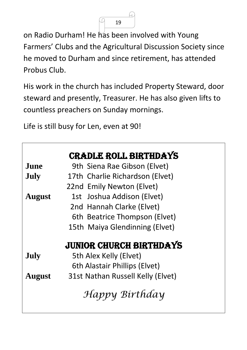L

on Radio Durham! He has been involved with Young Farmers' Clubs and the Agricultural Discussion Society since he moved to Durham and since retirement, has attended Probus Club.

His work in the church has included Property Steward, door steward and presently, Treasurer. He has also given lifts to countless preachers on Sunday mornings.

Life is still busy for Len, even at 90!

|               | <b>CRADLE ROLL BIRTHDAYS</b>      |  |
|---------------|-----------------------------------|--|
| <b>June</b>   | 9th Siena Rae Gibson (Elvet)      |  |
| July          | 17th Charlie Richardson (Elvet)   |  |
|               | 22nd Emily Newton (Elvet)         |  |
| <b>August</b> | 1st Joshua Addison (Elvet)        |  |
|               | 2nd Hannah Clarke (Elvet)         |  |
|               | 6th Beatrice Thompson (Elvet)     |  |
|               | 15th Maiya Glendinning (Elvet)    |  |
|               | JUNIOR CHURCH BIRTHDAYS           |  |
| July          | 5th Alex Kelly (Elvet)            |  |
|               | 6th Alastair Phillips (Elvet)     |  |
| <b>August</b> | 31st Nathan Russell Kelly (Elvet) |  |
|               | Happy Birthday                    |  |
|               |                                   |  |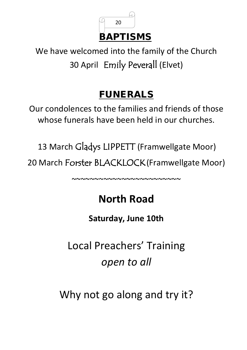

We have welcomed into the family of the Church 30 April Emily Peverall (Elvet)

## FUNERALS

Our condolences to the families and friends of those whose funerals have been held in our churches.

13 March Gladys LIPPETT (Framwellgate Moor) 20 March Forster BLACKLOCK(Framwellgate Moor)

~~~~~~~~~~~~~~~~~~~~~~~~

# **North Road**

**Saturday, June 10th**

Local Preachers' Training *open to all*

Why not go along and try it?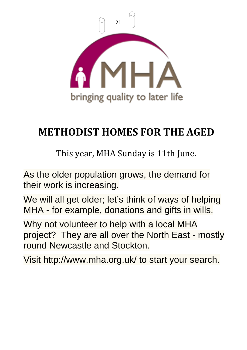

# **METHODIST HOMES FOR THE AGED**

This year, MHA Sunday is 11th June.

As the older population grows, the demand for their work is increasing.

We will all get older; let's think of ways of helping MHA - for example, donations and gifts in wills.

Why not volunteer to help with a local MHA project? They are all over the North East - mostly round Newcastle and Stockton.

Visit<http://www.mha.org.uk/> to start your search.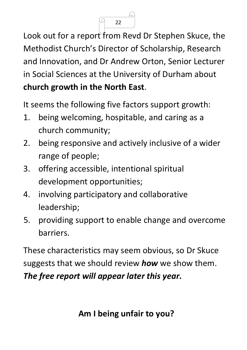Look out for a report from Revd Dr Stephen Skuce, the Methodist Church's Director of Scholarship, Research and Innovation, and Dr Andrew Orton, Senior Lecturer in Social Sciences at the University of Durham about **church growth in the North East**.

It seems the following five factors support growth:

- 1. being welcoming, hospitable, and caring as a church community;
- 2. being responsive and actively inclusive of a wider range of people;
- 3. offering accessible, intentional spiritual development opportunities;
- 4. involving participatory and collaborative leadership;
- 5. providing support to enable change and overcome barriers.

These characteristics may seem obvious, so Dr Skuce suggests that we should review *how* we show them. *The free report will appear later this year.*

 $22$ 

C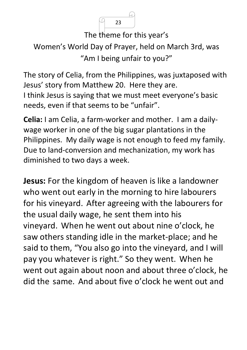The theme for this year's

```
Women's World Day of Prayer, held on March 3rd, was 
 "Am I being unfair to you?"
```
The story of Celia, from the Philippines, was juxtaposed with Jesus' story from Matthew 20. Here they are. I think Jesus is saying that we must meet everyone's basic needs, even if that seems to be "unfair".

**Celia:** I am Celia, a farm-worker and mother. I am a dailywage worker in one of the big sugar plantations in the Philippines. My daily wage is not enough to feed my family. Due to land-conversion and mechanization, my work has diminished to two days a week.

**Jesus:** For the kingdom of heaven is like a landowner who went out early in the morning to hire labourers for his vineyard. After agreeing with the labourers for the usual daily wage, he sent them into his vineyard. When he went out about nine o'clock, he saw others standing idle in the market-place; and he said to them, "You also go into the vineyard, and I will pay you whatever is right." So they went. When he went out again about noon and about three o'clock, he did the same. And about five o'clock he went out and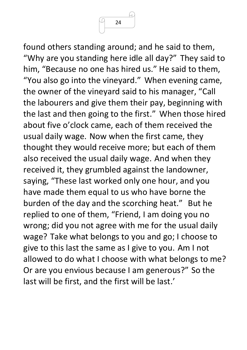

found others standing around; and he said to them, "Why are you standing here idle all day?" They said to him, "Because no one has hired us." He said to them, "You also go into the vineyard." When evening came, the owner of the vineyard said to his manager, "Call the labourers and give them their pay, beginning with the last and then going to the first." When those hired about five o'clock came, each of them received the usual daily wage. Now when the first came, they thought they would receive more; but each of them also received the usual daily wage. And when they received it, they grumbled against the landowner, saying, "These last worked only one hour, and you have made them equal to us who have borne the burden of the day and the scorching heat." But he replied to one of them, "Friend, I am doing you no wrong; did you not agree with me for the usual daily wage? Take what belongs to you and go; I choose to give to this last the same as I give to you. Am I not allowed to do what I choose with what belongs to me? Or are you envious because I am generous?" So the last will be first, and the first will be last.'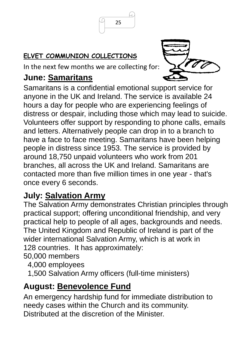#### **ELVET COMMUNION COLLECTIONS**

In the next few months we are collecting for:

## **June: [Samaritans](http://www.samaritans.org/)**



Samaritans is a confidential emotional support service for anyone in the UK and Ireland. The service is available 24 hours a day for people who are experiencing feelings of distress or despair, including those which may lead to suicide. Volunteers offer support by responding to phone calls, emails and letters. Alternatively people can drop in to a branch to have a face to face meeting. Samaritans have been helping people in distress since 1953. The service is provided by around 18,750 unpaid volunteers who work from 201 branches, all across the UK and Ireland. Samaritans are contacted more than five million times in one year - that's once every 6 seconds.

## **July: [Salvation Army](http://www.salvationarmy.org.uk/)**

The Salvation Army demonstrates Christian principles through practical support; offering unconditional friendship, and very practical help to people of all ages, backgrounds and needs. The United Kingdom and Republic of Ireland is part of the wider [international](http://www.salvationarmy.org/) Salvation Army, which is at work in 128 countries. It has approximately:

50,000 members

- 4,000 employees
- 1,500 Salvation Army officers (full-time ministers)

## **August: Benevolence Fund**

An emergency hardship fund for immediate distribution to needy cases within the Church and its community. Distributed at the discretion of the Minister.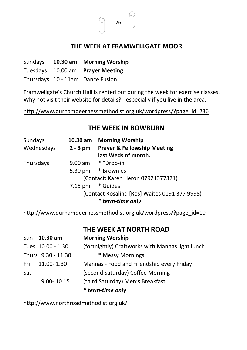

#### **THE WEEK AT FRAMWELLGATE MOOR**

| Sundays | 10.30 am Morning Worship         |
|---------|----------------------------------|
|         | Tuesdays 10.00 am Prayer Meeting |
|         | Thursdays 10 - 11am Dance Fusion |

Framwellgate's Church Hall is rented out during the week for exercise classes. Why not visit their website for details? - especially if you live in the area.

http://www.durhamdeernessmethodist.org.uk/wordpress/?page\_id=236

#### **THE WEEK IN BOWBURN**

| Sundays    | 10.30 am   | <b>Morning Worship</b>                        |
|------------|------------|-----------------------------------------------|
| Wednesdays | $2 - 3$ pm | <b>Prayer &amp; Fellowship Meeting</b>        |
|            |            | last Weds of month.                           |
| Thursdays  |            | 9.00 am * "Drop-in"                           |
|            | 5.30 pm    | * Brownies                                    |
|            |            | (Contact: Karen Heron 07921377321)            |
|            | 7.15 pm    | * Guides                                      |
|            |            | (Contact Rosalind [Ros] Waites 0191 377 9995) |
|            |            | * term-time only                              |

http://www.durhamdeernessmethodist.org.uk/wordpress/?page\_id=10

**THE WEEK AT NORTH ROAD**

|     | Sun 10.30 am       | <b>Morning Worship</b>                           |
|-----|--------------------|--------------------------------------------------|
|     | Tues 10.00 - 1.30  | (fortnightly) Craftworks with Mannas light lunch |
|     | Thurs 9.30 - 11.30 | * Messy Mornings                                 |
| Fri | $11.00 - 1.30$     | Mannas - Food and Friendship every Friday        |
| Sat |                    | (second Saturday) Coffee Morning                 |
|     | $9.00 - 10.15$     | (third Saturday) Men's Breakfast                 |
|     |                    | * term-time only                                 |

http://www.northroadmethodist.org.uk/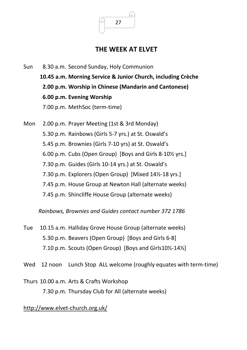

#### **THE WEEK AT ELVET**

- Sun 8.30 a.m. Second Sunday, Holy Communion **10.45 a.m. Morning Service & Junior Church, including Crèche 2.00 p.m. Worship in Chinese (Mandarin and Cantonese) 6.00 p.m. Evening Worship**  7.00 p.m. MethSoc (term-time)
- Mon 2.00 p.m. Prayer Meeting (1st & 3rd Monday) 5.30 p.m. Rainbows (Girls 5-7 yrs.) at St. Oswald's 5.45 p.m. Brownies (Girls 7-10 yrs) at St. Oswald's 6.00 p.m. Cubs (Open Group) [Boys and Girls 8-10½ yrs.] 7.30 p.m. Guides (Girls 10-14 yrs.) at St. Oswald's 7.30 p.m. Explorers (Open Group) [Mixed 14½-18 yrs.] 7.45 p.m. House Group at Newton Hall (alternate weeks) 7.45 p.m. Shincliffe House Group (alternate weeks)

*Rainbows, Brownies and Guides contact number 372 1786*

- Tue 10.15 a.m. Halliday Grove House Group (alternate weeks) 5.30 p.m. Beavers (Open Group) [Boys and Girls 6-8] 7.10 p.m. Scouts (Open Group) [Boys and Girls10½-14½]
- Wed 12 noon Lunch Stop ALL welcome (roughly equates with term-time)
- Thurs 10.00 a.m. Arts & Crafts Workshop 7.30 p.m. Thursday Club for All (alternate weeks)

#### http://www.elvet-church.org.uk/